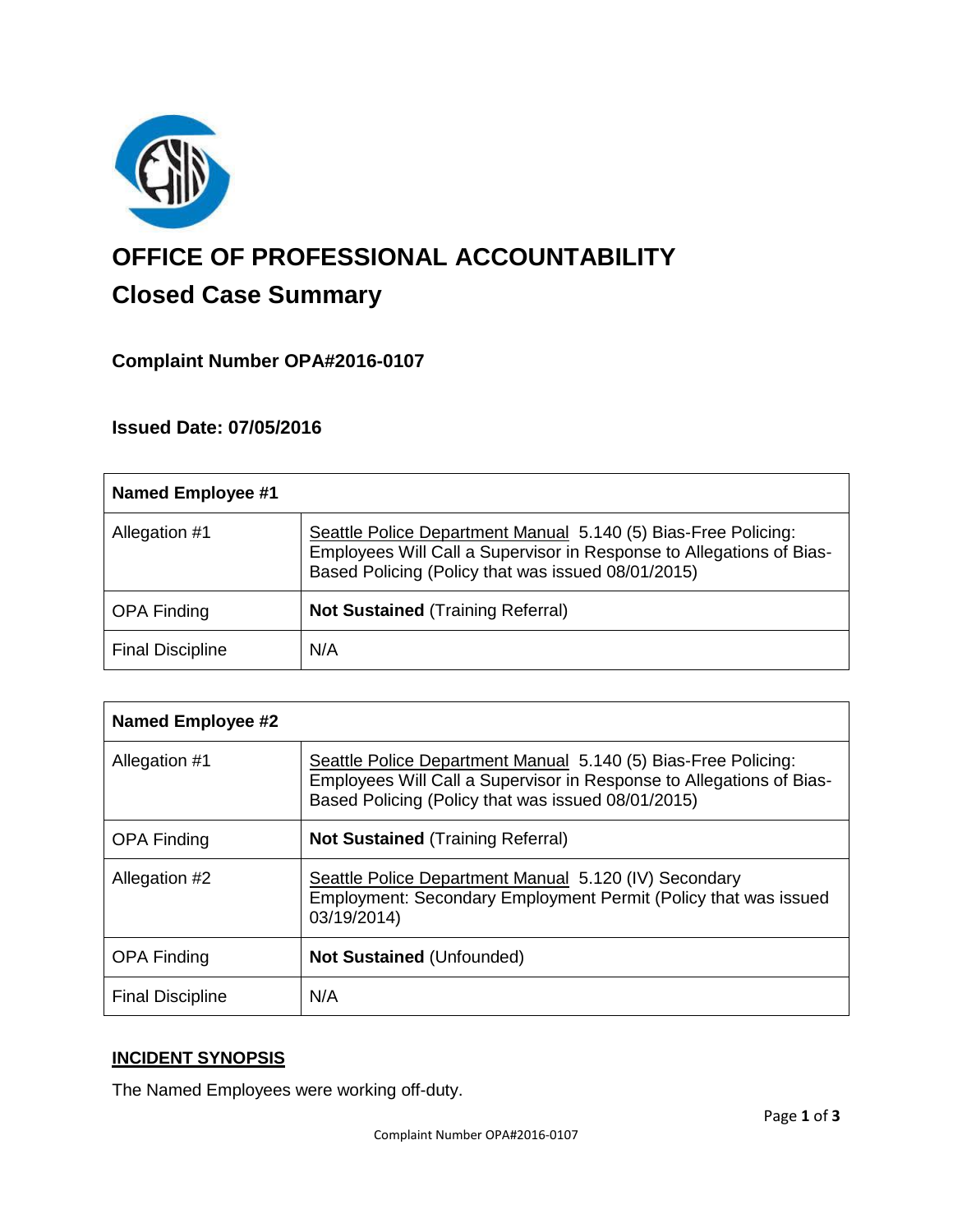

# **OFFICE OF PROFESSIONAL ACCOUNTABILITY Closed Case Summary**

# **Complaint Number OPA#2016-0107**

## **Issued Date: 07/05/2016**

| <b>Named Employee #1</b> |                                                                                                                                                                                              |
|--------------------------|----------------------------------------------------------------------------------------------------------------------------------------------------------------------------------------------|
| Allegation #1            | Seattle Police Department Manual 5.140 (5) Bias-Free Policing:<br>Employees Will Call a Supervisor in Response to Allegations of Bias-<br>Based Policing (Policy that was issued 08/01/2015) |
| <b>OPA Finding</b>       | <b>Not Sustained (Training Referral)</b>                                                                                                                                                     |
| <b>Final Discipline</b>  | N/A                                                                                                                                                                                          |

| <b>Named Employee #2</b> |                                                                                                                                                                                              |
|--------------------------|----------------------------------------------------------------------------------------------------------------------------------------------------------------------------------------------|
| Allegation #1            | Seattle Police Department Manual 5.140 (5) Bias-Free Policing:<br>Employees Will Call a Supervisor in Response to Allegations of Bias-<br>Based Policing (Policy that was issued 08/01/2015) |
| <b>OPA Finding</b>       | <b>Not Sustained (Training Referral)</b>                                                                                                                                                     |
| Allegation #2            | Seattle Police Department Manual 5.120 (IV) Secondary<br>Employment: Secondary Employment Permit (Policy that was issued<br>03/19/2014)                                                      |
| <b>OPA Finding</b>       | <b>Not Sustained (Unfounded)</b>                                                                                                                                                             |
| <b>Final Discipline</b>  | N/A                                                                                                                                                                                          |

# **INCIDENT SYNOPSIS**

The Named Employees were working off-duty.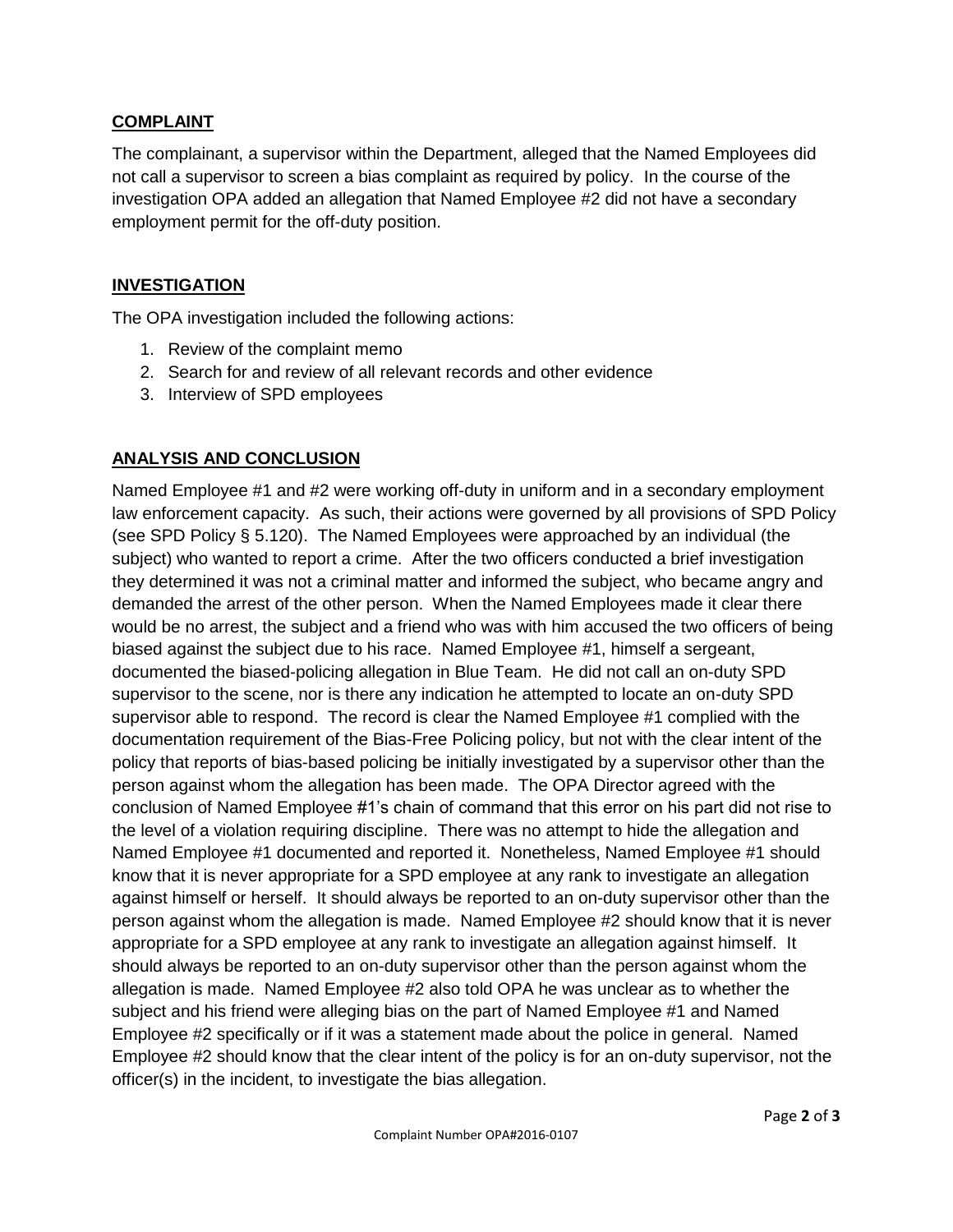## **COMPLAINT**

The complainant, a supervisor within the Department, alleged that the Named Employees did not call a supervisor to screen a bias complaint as required by policy. In the course of the investigation OPA added an allegation that Named Employee #2 did not have a secondary employment permit for the off-duty position.

## **INVESTIGATION**

The OPA investigation included the following actions:

- 1. Review of the complaint memo
- 2. Search for and review of all relevant records and other evidence
- 3. Interview of SPD employees

## **ANALYSIS AND CONCLUSION**

Named Employee #1 and #2 were working off-duty in uniform and in a secondary employment law enforcement capacity. As such, their actions were governed by all provisions of SPD Policy (see SPD Policy § 5.120). The Named Employees were approached by an individual (the subject) who wanted to report a crime. After the two officers conducted a brief investigation they determined it was not a criminal matter and informed the subject, who became angry and demanded the arrest of the other person. When the Named Employees made it clear there would be no arrest, the subject and a friend who was with him accused the two officers of being biased against the subject due to his race. Named Employee #1, himself a sergeant, documented the biased-policing allegation in Blue Team. He did not call an on-duty SPD supervisor to the scene, nor is there any indication he attempted to locate an on-duty SPD supervisor able to respond. The record is clear the Named Employee #1 complied with the documentation requirement of the Bias-Free Policing policy, but not with the clear intent of the policy that reports of bias-based policing be initially investigated by a supervisor other than the person against whom the allegation has been made. The OPA Director agreed with the conclusion of Named Employee #1's chain of command that this error on his part did not rise to the level of a violation requiring discipline. There was no attempt to hide the allegation and Named Employee #1 documented and reported it. Nonetheless, Named Employee #1 should know that it is never appropriate for a SPD employee at any rank to investigate an allegation against himself or herself. It should always be reported to an on-duty supervisor other than the person against whom the allegation is made. Named Employee #2 should know that it is never appropriate for a SPD employee at any rank to investigate an allegation against himself. It should always be reported to an on-duty supervisor other than the person against whom the allegation is made. Named Employee #2 also told OPA he was unclear as to whether the subject and his friend were alleging bias on the part of Named Employee #1 and Named Employee #2 specifically or if it was a statement made about the police in general. Named Employee #2 should know that the clear intent of the policy is for an on-duty supervisor, not the officer(s) in the incident, to investigate the bias allegation.